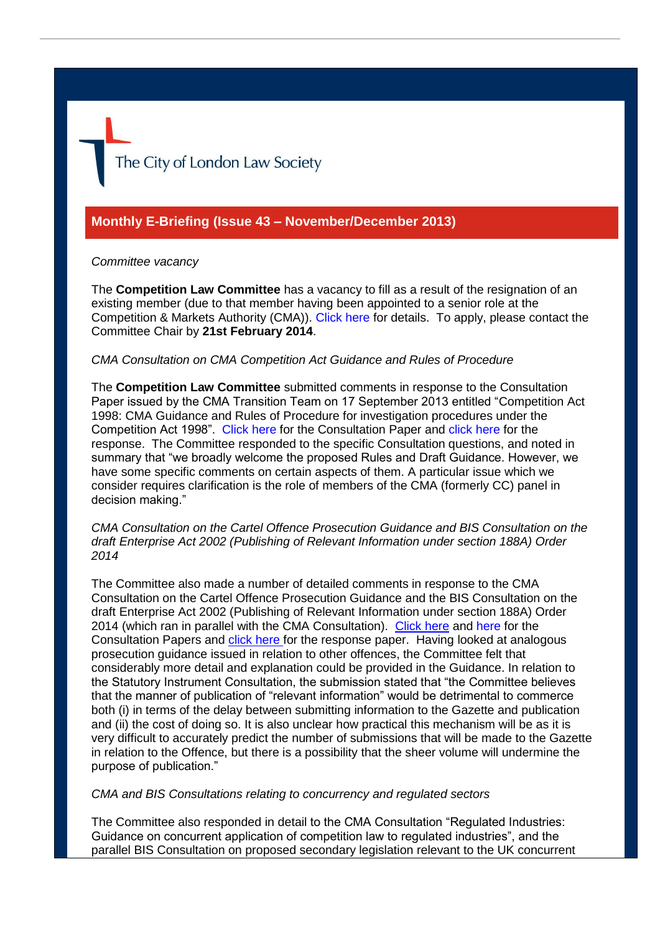The City of London Law Society

# **Monthly E-Briefing (Issue 43 – November/December 2013)**

### *Committee vacancy*

The **Competition Law Committee** has a vacancy to fill as a result of the resignation of an existing member (due to that member having been appointed to a senior role at the Competition & Markets Authority (CMA)). [Click here](http://www.citysolicitors.org.uk/attachments/category/108/20140110%20Competition%20Law%20Advert.pdf) for details. To apply, please contact the Committee Chair by **21st February 2014**.

### *CMA Consultation on CMA Competition Act Guidance and Rules of Procedure*

The **Competition Law Committee** submitted comments in response to the Consultation Paper issued by the CMA Transition Team on 17 September 2013 entitled "Competition Act 1998: CMA Guidance and Rules of Procedure for investigation procedures under the Competition Act 1998". [Click here](https://www.gov.uk/government/uploads/system/uploads/attachment_data/file/243700/1-guidance-on-cma-investigation-procedures-in-ca98-cases-consultation.pdf) for the Consultation Paper and [click here](http://www.citysolicitors.org.uk/attachments/category/108/LN01DOCS-294081-v1-Response_to_CMA_on_Competition_Act_Procedures.pdf) for the response. The Committee responded to the specific Consultation questions, and noted in summary that "we broadly welcome the proposed Rules and Draft Guidance. However, we have some specific comments on certain aspects of them. A particular issue which we consider requires clarification is the role of members of the CMA (formerly CC) panel in decision making."

*CMA Consultation on the Cartel Offence Prosecution Guidance and BIS Consultation on the draft Enterprise Act 2002 (Publishing of Relevant Information under section 188A) Order 2014*

The Committee also made a number of detailed comments in response to the CMA Consultation on the Cartel Offence Prosecution Guidance and the BIS Consultation on the draft Enterprise Act 2002 (Publishing of Relevant Information under section 188A) Order 2014 (which ran in parallel with the CMA Consultation). [Click here](https://www.gov.uk/government/uploads/system/uploads/attachment_data/file/243709/5-cartel-offence-prosecution-guidance-consultation.pdf) and [here f](https://www.gov.uk/government/uploads/system/uploads/attachment_data/file/245994/Competition-regime-draft-secondary-legislation-part-two.pdf)or the Consultation Papers and [click here f](http://www.citysolicitors.org.uk/attachments/category/108/CLLS_response_to_CMA_Consultation_on_Cartel_Prosecution_Guidance%202.pdf)or the response paper. Having looked at analogous prosecution guidance issued in relation to other offences, the Committee felt that considerably more detail and explanation could be provided in the Guidance. In relation to the Statutory Instrument Consultation, the submission stated that "the Committee believes that the manner of publication of "relevant information" would be detrimental to commerce both (i) in terms of the delay between submitting information to the Gazette and publication and (ii) the cost of doing so. It is also unclear how practical this mechanism will be as it is very difficult to accurately predict the number of submissions that will be made to the Gazette in relation to the Offence, but there is a possibility that the sheer volume will undermine the purpose of publication."

#### *CMA and BIS Consultations relating to concurrency and regulated sectors*

The Committee also responded in detail to the CMA Consultation "Regulated Industries: Guidance on concurrent application of competition law to regulated industries", and the parallel BIS Consultation on proposed secondary legislation relevant to the UK concurrent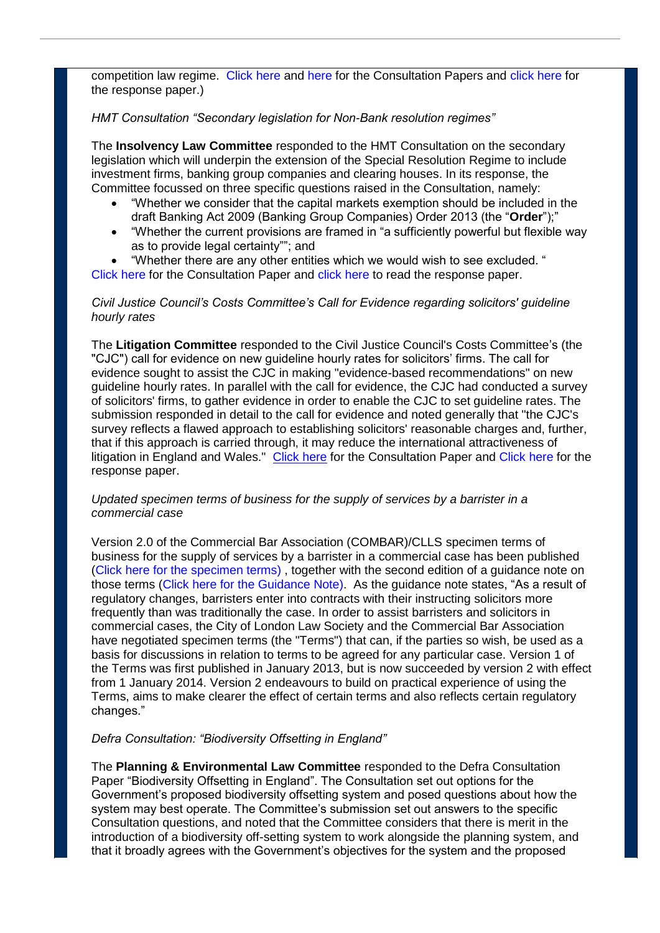competition law regime. [Click here](https://www.gov.uk/government/uploads/system/uploads/attachment_data/file/243707/3-guidance-on-concurrent-application-of-competition-law-to-regulated-industries-consultation.pdf) and [here f](https://www.gov.uk/government/uploads/system/uploads/attachment_data/file/245994/Competition-regime-draft-secondary-legislation-part-two.pdf)or the Consultation Papers and [click here](http://www.citysolicitors.org.uk/attachments/category/108/LN01DOCS-293833-v1-Concurrency__Regulated_Sectors.pdf) for the response paper.)

## *HMT Consultation "Secondary legislation for Non-Bank resolution regimes"*

The **Insolvency Law Committee** responded to the HMT Consultation on the secondary legislation which will underpin the extension of the Special Resolution Regime to include investment firms, banking group companies and clearing houses. In its response, the Committee focussed on three specific questions raised in the Consultation, namely:

- "Whether we consider that the capital markets exemption should be included in the draft Banking Act 2009 (Banking Group Companies) Order 2013 (the "**Order**");"
- "Whether the current provisions are framed in "a sufficiently powerful but flexible way as to provide legal certainty""; and
- "Whether there are any other entities which we would wish to see excluded. "

[Click here](https://www.gov.uk/government/consultations/secondary-legislation-for-non-bank-resolution-regimes) for the Consultation Paper and [click here](http://www.citysolicitors.org.uk/attachments/article/119/20131128%20Response%20to%20HM%20Treasury%20Consultation%20on%20extending%20the%20Special%20Resolution%20Regime%202.pdf) to read the response paper.

### *Civil Justice Council's Costs Committee's Call for Evidence regarding solicitors' guideline hourly rates*

The **Litigation Committee** responded to the Civil Justice Council's Costs Committee's (the "CJC") call for evidence on new guideline hourly rates for solicitors' firms. The call for evidence sought to assist the CJC in making "evidence-based recommendations" on new guideline hourly rates. In parallel with the call for evidence, the CJC had conducted a survey of solicitors' firms, to gather evidence in order to enable the CJC to set guideline rates. The submission responded in detail to the call for evidence and noted generally that "the CJC's survey reflects a flawed approach to establishing solicitors' reasonable charges and, further, that if this approach is carried through, it may reduce the international attractiveness of litigation in England and Wales." [Click here](http://www.judiciary.gov.uk/JCO%2FDocuments%2FCJC%2Fcall-for-evidence.pdf) for the Consultation Paper and [Click here f](http://www.citysolicitors.org.uk/attachments/article/112/20131217%20CLLS%20response%20to%20CJC%20call%20for%20evidence%20on%20guideline%20rates%2035243-5-103%20v0.pdf)or the response paper.

### *Updated specimen terms of business for the supply of services by a barrister in a commercial case*

Version 2.0 of the Commercial Bar Association (COMBAR)/CLLS specimen terms of business for the supply of services by a barrister in a commercial case has been published [\(Click here for the specimen terms\)](http://www.citysolicitors.org.uk/attachments/article/112/20140102%20Combar%20CLLS%20Barrister) , together with the second edition of a guidance note on those terms [\(Click here for the Guidance Note\)](http://www.citysolicitors.org.uk/attachments/article/112/Guidance%20note%20on%20Combar%20CLLS%20barrister). As the guidance note states, "As a result of regulatory changes, barristers enter into contracts with their instructing solicitors more frequently than was traditionally the case. In order to assist barristers and solicitors in commercial cases, the City of London Law Society and the Commercial Bar Association have negotiated specimen terms (the "Terms") that can, if the parties so wish, be used as a basis for discussions in relation to terms to be agreed for any particular case. Version 1 of the Terms was first published in January 2013, but is now succeeded by version 2 with effect from 1 January 2014. Version 2 endeavours to build on practical experience of using the Terms, aims to make clearer the effect of certain terms and also reflects certain regulatory changes."

#### *Defra Consultation: "Biodiversity Offsetting in England"*

The **Planning & Environmental Law Committee** responded to the Defra Consultation Paper "Biodiversity Offsetting in England". The Consultation set out options for the Government's proposed biodiversity offsetting system and posed questions about how the system may best operate. The Committee's submission set out answers to the specific Consultation questions, and noted that the Committee considers that there is merit in the introduction of a biodiversity off-setting system to work alongside the planning system, and that it broadly agrees with the Government's objectives for the system and the proposed